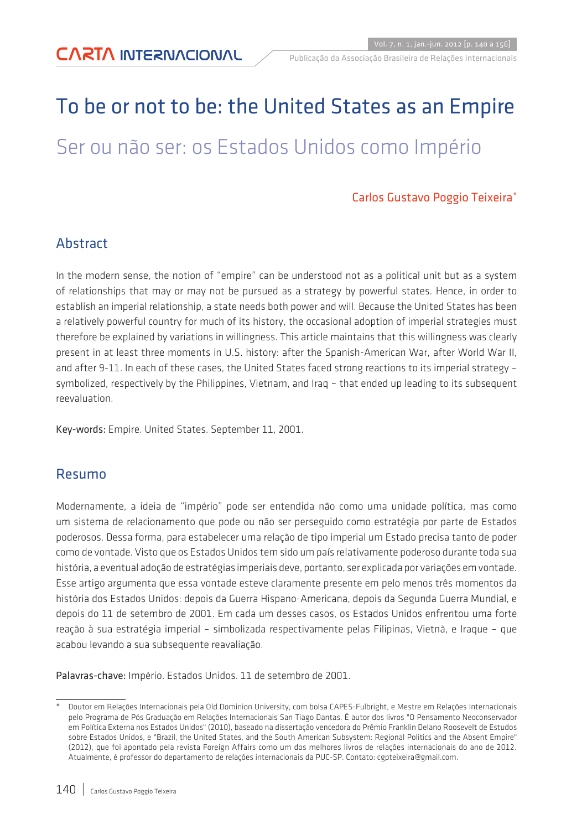# To be or not to be: the United States as an Empire Ser ou não ser: os Estados Unidos como Império

#### Carlos Gustavo Poggio Teixeira\*

#### Abstract

In the modern sense, the notion of "empire" can be understood not as a political unit but as a system of relationships that may or may not be pursued as a strategy by powerful states. Hence, in order to establish an imperial relationship, a state needs both power and will. Because the United States has been a relatively powerful country for much of its history, the occasional adoption of imperial strategies must therefore be explained by variations in willingness. This article maintains that this willingness was clearly present in at least three moments in U.S. history: after the Spanish-American War, after World War II, and after 9-11. In each of these cases, the United States faced strong reactions to its imperial strategy – symbolized, respectively by the Philippines, Vietnam, and Iraq – that ended up leading to its subsequent reevaluation.

Key-words: Empire. United States. September 11, 2001.

#### Resumo

Modernamente, a ideia de "império" pode ser entendida não como uma unidade política, mas como um sistema de relacionamento que pode ou não ser perseguido como estratégia por parte de Estados poderosos. Dessa forma, para estabelecer uma relação de tipo imperial um Estado precisa tanto de poder como de vontade. Visto que os Estados Unidos tem sido um país relativamente poderoso durante toda sua história, a eventual adoção de estratégias imperiais deve, portanto, ser explicada por variações em vontade. Esse artigo argumenta que essa vontade esteve claramente presente em pelo menos três momentos da história dos Estados Unidos: depois da Guerra Hispano-Americana, depois da Segunda Guerra Mundial, e depois do 11 de setembro de 2001. Em cada um desses casos, os Estados Unidos enfrentou uma forte reação à sua estratégia imperial – simbolizada respectivamente pelas Filipinas, Vietnã, e Iraque – que acabou levando a sua subsequente reavaliação.

Palavras-chave: Império. Estados Unidos. 11 de setembro de 2001.

Doutor em Relações Internacionais pela Old Dominion University, com bolsa CAPES-Fulbright, e Mestre em Relações Internacionais pelo Programa de Pós Graduação em Relações Internacionais San Tiago Dantas. É autor dos livros "O Pensamento Neoconservador em Política Externa nos Estados Unidos" (2010), baseado na dissertação vencedora do Prêmio Franklin Delano Roosevelt de Estudos sobre Estados Unidos, e "Brazil, the United States, and the South American Subsystem: Regional Politics and the Absent Empire" (2012), que foi apontado pela revista Foreign Affairs como um dos melhores livros de relações internacionais do ano de 2012. Atualmente, é professor do departamento de relações internacionais da PUC-SP. Contato: cgpteixeira@gmail.com.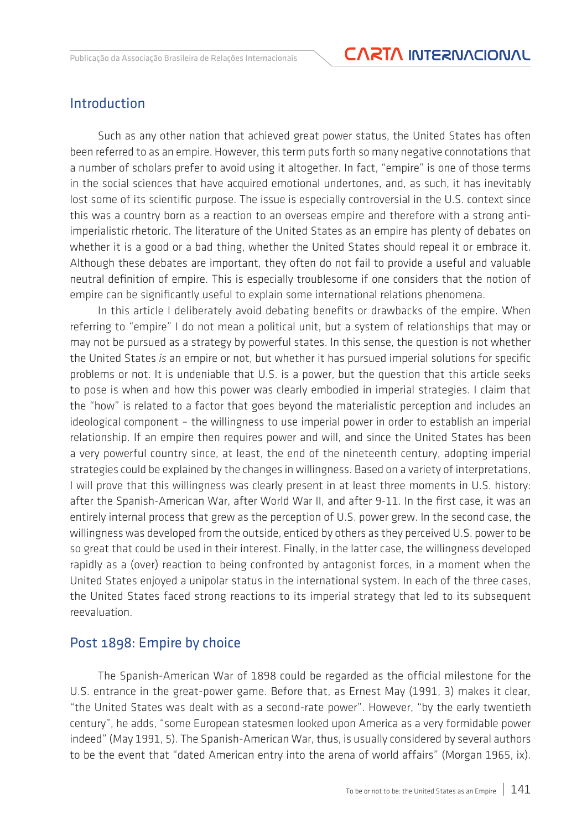#### Introduction

Such as any other nation that achieved great power status, the United States has often been referred to as an empire. However, this term puts forth so many negative connotations that a number of scholars prefer to avoid using it altogether. In fact, "empire" is one of those terms in the social sciences that have acquired emotional undertones, and, as such, it has inevitably lost some of its scientific purpose. The issue is especially controversial in the U.S. context since this was a country born as a reaction to an overseas empire and therefore with a strong antiimperialistic rhetoric. The literature of the United States as an empire has plenty of debates on whether it is a good or a bad thing, whether the United States should repeal it or embrace it. Although these debates are important, they often do not fail to provide a useful and valuable neutral definition of empire. This is especially troublesome if one considers that the notion of empire can be significantly useful to explain some international relations phenomena.

In this article I deliberately avoid debating benefits or drawbacks of the empire. When referring to "empire" I do not mean a political unit, but a system of relationships that may or may not be pursued as a strategy by powerful states. In this sense, the question is not whether the United States *is* an empire or not, but whether it has pursued imperial solutions for specific problems or not. It is undeniable that U.S. is a power, but the question that this article seeks to pose is when and how this power was clearly embodied in imperial strategies. I claim that the "how" is related to a factor that goes beyond the materialistic perception and includes an ideological component – the willingness to use imperial power in order to establish an imperial relationship. If an empire then requires power and will, and since the United States has been a very powerful country since, at least, the end of the nineteenth century, adopting imperial strategies could be explained by the changes in willingness. Based on a variety of interpretations, I will prove that this willingness was clearly present in at least three moments in U.S. history: after the Spanish-American War, after World War II, and after 9-11. In the first case, it was an entirely internal process that grew as the perception of U.S. power grew. In the second case, the willingness was developed from the outside, enticed by others as they perceived U.S. power to be so great that could be used in their interest. Finally, in the latter case, the willingness developed rapidly as a (over) reaction to being confronted by antagonist forces, in a moment when the United States enjoyed a unipolar status in the international system. In each of the three cases, the United States faced strong reactions to its imperial strategy that led to its subsequent reevaluation.

#### Post 1898: Empire by choice

The Spanish-American War of 1898 could be regarded as the official milestone for the U.S. entrance in the great-power game. Before that, as Ernest May (1991, 3) makes it clear, "the United States was dealt with as a second-rate power". However, "by the early twentieth century", he adds, "some European statesmen looked upon America as a very formidable power indeed" (May 1991, 5). The Spanish-American War, thus, is usually considered by several authors to be the event that "dated American entry into the arena of world affairs" (Morgan 1965, ix).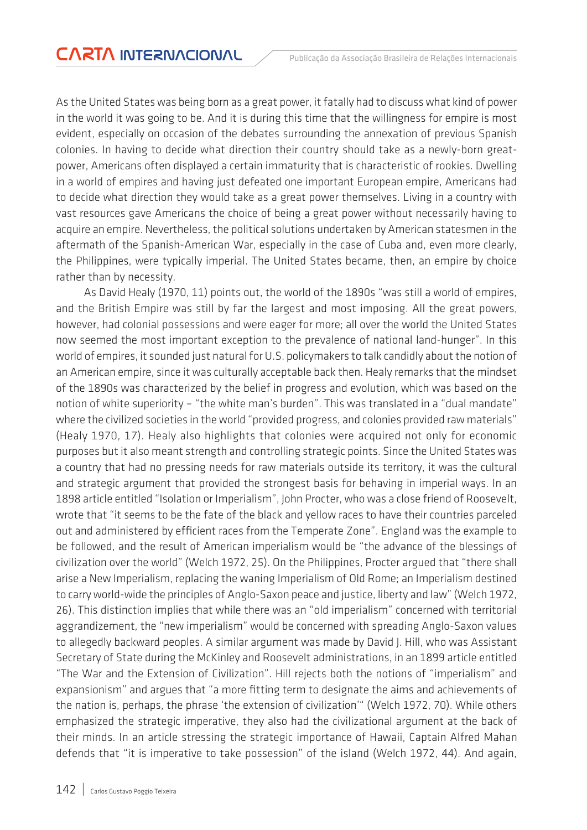As the United States was being born as a great power, it fatally had to discuss what kind of power in the world it was going to be. And it is during this time that the willingness for empire is most evident, especially on occasion of the debates surrounding the annexation of previous Spanish colonies. In having to decide what direction their country should take as a newly-born greatpower, Americans often displayed a certain immaturity that is characteristic of rookies. Dwelling in a world of empires and having just defeated one important European empire, Americans had to decide what direction they would take as a great power themselves. Living in a country with vast resources gave Americans the choice of being a great power without necessarily having to acquire an empire. Nevertheless, the political solutions undertaken by American statesmen in the aftermath of the Spanish-American War, especially in the case of Cuba and, even more clearly, the Philippines, were typically imperial. The United States became, then, an empire by choice rather than by necessity.

As David Healy (1970, 11) points out, the world of the 1890s "was still a world of empires, and the British Empire was still by far the largest and most imposing. All the great powers, however, had colonial possessions and were eager for more; all over the world the United States now seemed the most important exception to the prevalence of national land-hunger". In this world of empires, it sounded just natural for U.S. policymakers to talk candidly about the notion of an American empire, since it was culturally acceptable back then. Healy remarks that the mindset of the 1890s was characterized by the belief in progress and evolution, which was based on the notion of white superiority – "the white man's burden". This was translated in a "dual mandate" where the civilized societies in the world "provided progress, and colonies provided raw materials" (Healy 1970, 17). Healy also highlights that colonies were acquired not only for economic purposes but it also meant strength and controlling strategic points. Since the United States was a country that had no pressing needs for raw materials outside its territory, it was the cultural and strategic argument that provided the strongest basis for behaving in imperial ways. In an 1898 article entitled "Isolation or Imperialism", John Procter, who was a close friend of Roosevelt, wrote that "it seems to be the fate of the black and yellow races to have their countries parceled out and administered by efficient races from the Temperate Zone". England was the example to be followed, and the result of American imperialism would be "the advance of the blessings of civilization over the world" (Welch 1972, 25). On the Philippines, Procter argued that "there shall arise a New Imperialism, replacing the waning Imperialism of Old Rome; an Imperialism destined to carry world-wide the principles of Anglo-Saxon peace and justice, liberty and law" (Welch 1972, 26). This distinction implies that while there was an "old imperialism" concerned with territorial aggrandizement, the "new imperialism" would be concerned with spreading Anglo-Saxon values to allegedly backward peoples. A similar argument was made by David J. Hill, who was Assistant Secretary of State during the McKinley and Roosevelt administrations, in an 1899 article entitled "The War and the Extension of Civilization". Hill rejects both the notions of "imperialism" and expansionism" and argues that "a more fitting term to designate the aims and achievements of the nation is, perhaps, the phrase 'the extension of civilization'" (Welch 1972, 70). While others emphasized the strategic imperative, they also had the civilizational argument at the back of their minds. In an article stressing the strategic importance of Hawaii, Captain Alfred Mahan defends that "it is imperative to take possession" of the island (Welch 1972, 44). And again,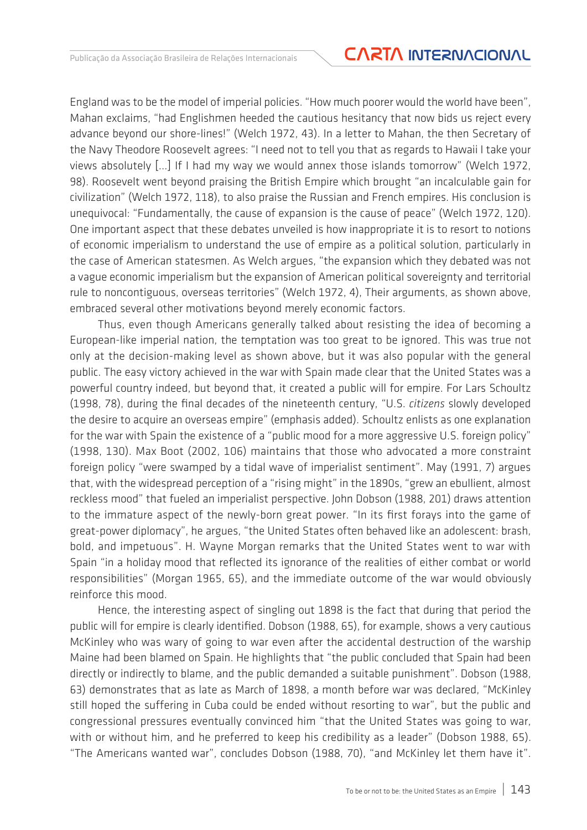### Publicação da Associação Brasileira de Relações Internacionais **CARTA INTERNACIONAL**

England was to be the model of imperial policies. "How much poorer would the world have been", Mahan exclaims, "had Englishmen heeded the cautious hesitancy that now bids us reject every advance beyond our shore-lines!" (Welch 1972, 43). In a letter to Mahan, the then Secretary of the Navy Theodore Roosevelt agrees: "I need not to tell you that as regards to Hawaii I take your views absolutely [...] If I had my way we would annex those islands tomorrow" (Welch 1972, 98). Roosevelt went beyond praising the British Empire which brought "an incalculable gain for civilization" (Welch 1972, 118), to also praise the Russian and French empires. His conclusion is unequivocal: "Fundamentally, the cause of expansion is the cause of peace" (Welch 1972, 120). One important aspect that these debates unveiled is how inappropriate it is to resort to notions of economic imperialism to understand the use of empire as a political solution, particularly in the case of American statesmen. As Welch argues, "the expansion which they debated was not a vague economic imperialism but the expansion of American political sovereignty and territorial rule to noncontiguous, overseas territories" (Welch 1972, 4), Their arguments, as shown above, embraced several other motivations beyond merely economic factors.

Thus, even though Americans generally talked about resisting the idea of becoming a European-like imperial nation, the temptation was too great to be ignored. This was true not only at the decision-making level as shown above, but it was also popular with the general public. The easy victory achieved in the war with Spain made clear that the United States was a powerful country indeed, but beyond that, it created a public will for empire. For Lars Schoultz (1998, 78), during the final decades of the nineteenth century, "U.S. *citizens* slowly developed the desire to acquire an overseas empire" (emphasis added). Schoultz enlists as one explanation for the war with Spain the existence of a "public mood for a more aggressive U.S. foreign policy" (1998, 130). Max Boot (2002, 106) maintains that those who advocated a more constraint foreign policy "were swamped by a tidal wave of imperialist sentiment". May (1991, 7) argues that, with the widespread perception of a "rising might" in the 1890s, "grew an ebullient, almost reckless mood" that fueled an imperialist perspective. John Dobson (1988, 201) draws attention to the immature aspect of the newly-born great power. "In its first forays into the game of great-power diplomacy", he argues, "the United States often behaved like an adolescent: brash, bold, and impetuous". H. Wayne Morgan remarks that the United States went to war with Spain "in a holiday mood that reflected its ignorance of the realities of either combat or world responsibilities" (Morgan 1965, 65), and the immediate outcome of the war would obviously reinforce this mood.

Hence, the interesting aspect of singling out 1898 is the fact that during that period the public will for empire is clearly identified. Dobson (1988, 65), for example, shows a very cautious McKinley who was wary of going to war even after the accidental destruction of the warship Maine had been blamed on Spain. He highlights that "the public concluded that Spain had been directly or indirectly to blame, and the public demanded a suitable punishment". Dobson (1988, 63) demonstrates that as late as March of 1898, a month before war was declared, "McKinley still hoped the suffering in Cuba could be ended without resorting to war", but the public and congressional pressures eventually convinced him "that the United States was going to war, with or without him, and he preferred to keep his credibility as a leader" (Dobson 1988, 65). "The Americans wanted war", concludes Dobson (1988, 70), "and McKinley let them have it".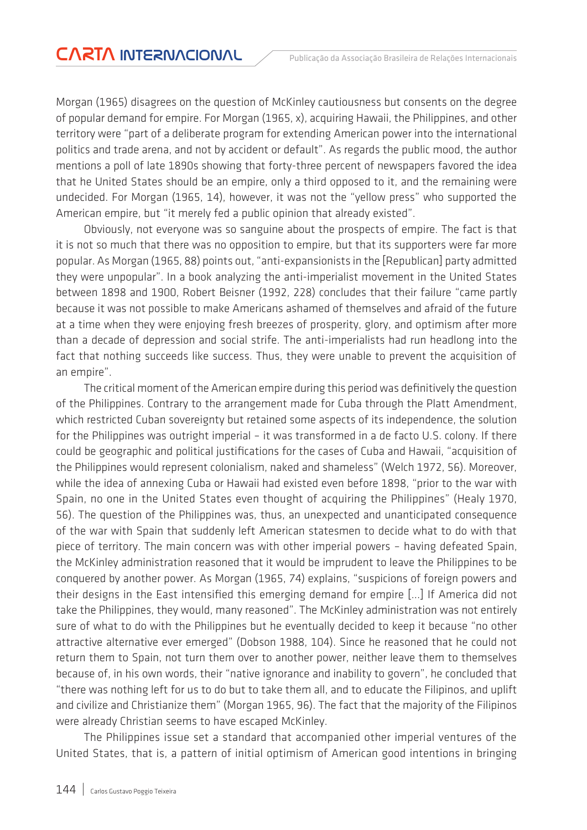Morgan (1965) disagrees on the question of McKinley cautiousness but consents on the degree of popular demand for empire. For Morgan (1965, x), acquiring Hawaii, the Philippines, and other territory were "part of a deliberate program for extending American power into the international politics and trade arena, and not by accident or default". As regards the public mood, the author mentions a poll of late 1890s showing that forty-three percent of newspapers favored the idea that he United States should be an empire, only a third opposed to it, and the remaining were undecided. For Morgan (1965, 14), however, it was not the "yellow press" who supported the American empire, but "it merely fed a public opinion that already existed".

Obviously, not everyone was so sanguine about the prospects of empire. The fact is that it is not so much that there was no opposition to empire, but that its supporters were far more popular. As Morgan (1965, 88) points out, "anti-expansionists in the [Republican] party admitted they were unpopular". In a book analyzing the anti-imperialist movement in the United States between 1898 and 1900, Robert Beisner (1992, 228) concludes that their failure "came partly because it was not possible to make Americans ashamed of themselves and afraid of the future at a time when they were enjoying fresh breezes of prosperity, glory, and optimism after more than a decade of depression and social strife. The anti-imperialists had run headlong into the fact that nothing succeeds like success. Thus, they were unable to prevent the acquisition of an empire".

The critical moment of the American empire during this period was definitively the question of the Philippines. Contrary to the arrangement made for Cuba through the Platt Amendment, which restricted Cuban sovereignty but retained some aspects of its independence, the solution for the Philippines was outright imperial – it was transformed in a de facto U.S. colony. If there could be geographic and political justifications for the cases of Cuba and Hawaii, "acquisition of the Philippines would represent colonialism, naked and shameless" (Welch 1972, 56). Moreover, while the idea of annexing Cuba or Hawaii had existed even before 1898, "prior to the war with Spain, no one in the United States even thought of acquiring the Philippines" (Healy 1970, 56). The question of the Philippines was, thus, an unexpected and unanticipated consequence of the war with Spain that suddenly left American statesmen to decide what to do with that piece of territory. The main concern was with other imperial powers – having defeated Spain, the McKinley administration reasoned that it would be imprudent to leave the Philippines to be conquered by another power. As Morgan (1965, 74) explains, "suspicions of foreign powers and their designs in the East intensified this emerging demand for empire [...] If America did not take the Philippines, they would, many reasoned". The McKinley administration was not entirely sure of what to do with the Philippines but he eventually decided to keep it because "no other attractive alternative ever emerged" (Dobson 1988, 104). Since he reasoned that he could not return them to Spain, not turn them over to another power, neither leave them to themselves because of, in his own words, their "native ignorance and inability to govern", he concluded that "there was nothing left for us to do but to take them all, and to educate the Filipinos, and uplift and civilize and Christianize them" (Morgan 1965, 96). The fact that the majority of the Filipinos were already Christian seems to have escaped McKinley.

The Philippines issue set a standard that accompanied other imperial ventures of the United States, that is, a pattern of initial optimism of American good intentions in bringing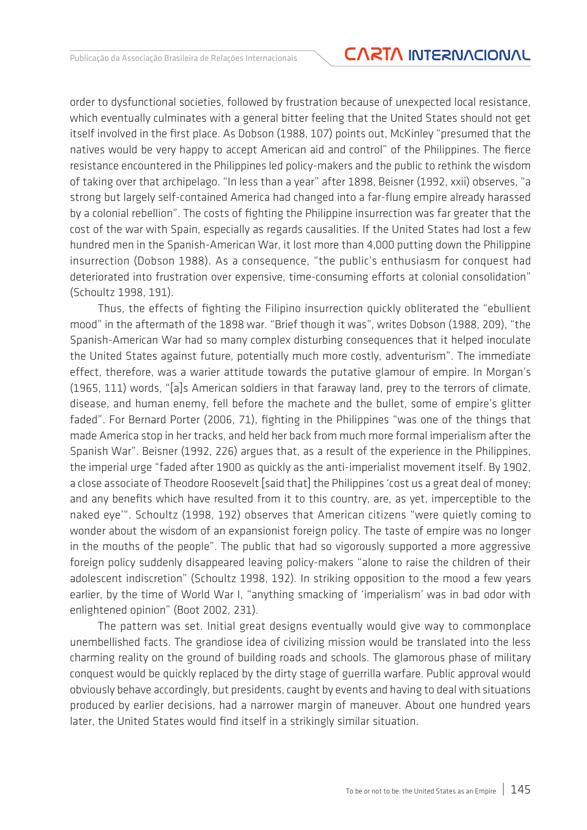order to dysfunctional societies, followed by frustration because of unexpected local resistance, which eventually culminates with a general bitter feeling that the United States should not get itself involved in the first place. As Dobson (1988, 107) points out, McKinley "presumed that the natives would be very happy to accept American aid and control" of the Philippines. The fierce resistance encountered in the Philippines led policy-makers and the public to rethink the wisdom of taking over that archipelago. "In less than a year" after 1898, Beisner (1992, xxii) observes, "a strong but largely self-contained America had changed into a far-flung empire already harassed by a colonial rebellion". The costs of fighting the Philippine insurrection was far greater that the cost of the war with Spain, especially as regards causalities. If the United States had lost a few hundred men in the Spanish-American War, it lost more than 4,000 putting down the Philippine insurrection (Dobson 1988). As a consequence, "the public's enthusiasm for conquest had deteriorated into frustration over expensive, time-consuming efforts at colonial consolidation" (Schoultz 1998, 191).

Thus, the effects of fighting the Filipino insurrection quickly obliterated the "ebullient mood" in the aftermath of the 1898 war. "Brief though it was", writes Dobson (1988, 209), "the Spanish-American War had so many complex disturbing consequences that it helped inoculate the United States against future, potentially much more costly, adventurism". The immediate effect, therefore, was a warier attitude towards the putative glamour of empire. In Morgan's (1965, 111) words, "[a]s American soldiers in that faraway land, prey to the terrors of climate, disease, and human enemy, fell before the machete and the bullet, some of empire's glitter faded". For Bernard Porter (2006, 71), fighting in the Philippines "was one of the things that made America stop in her tracks, and held her back from much more formal imperialism after the Spanish War". Beisner (1992, 226) argues that, as a result of the experience in the Philippines, the imperial urge "faded after 1900 as quickly as the anti-imperialist movement itself. By 1902, a close associate of Theodore Roosevelt [said that] the Philippines 'cost us a great deal of money; and any benefits which have resulted from it to this country, are, as yet, imperceptible to the naked eye'". Schoultz (1998, 192) observes that American citizens "were quietly coming to wonder about the wisdom of an expansionist foreign policy. The taste of empire was no longer in the mouths of the people". The public that had so vigorously supported a more aggressive foreign policy suddenly disappeared leaving policy-makers "alone to raise the children of their adolescent indiscretion" (Schoultz 1998, 192). In striking opposition to the mood a few years earlier, by the time of World War I, "anything smacking of 'imperialism' was in bad odor with enlightened opinion" (Boot 2002, 231).

The pattern was set. Initial great designs eventually would give way to commonplace unembellished facts. The grandiose idea of civilizing mission would be translated into the less charming reality on the ground of building roads and schools. The glamorous phase of military conquest would be quickly replaced by the dirty stage of guerrilla warfare. Public approval would obviously behave accordingly, but presidents, caught by events and having to deal with situations produced by earlier decisions, had a narrower margin of maneuver. About one hundred years later, the United States would find itself in a strikingly similar situation.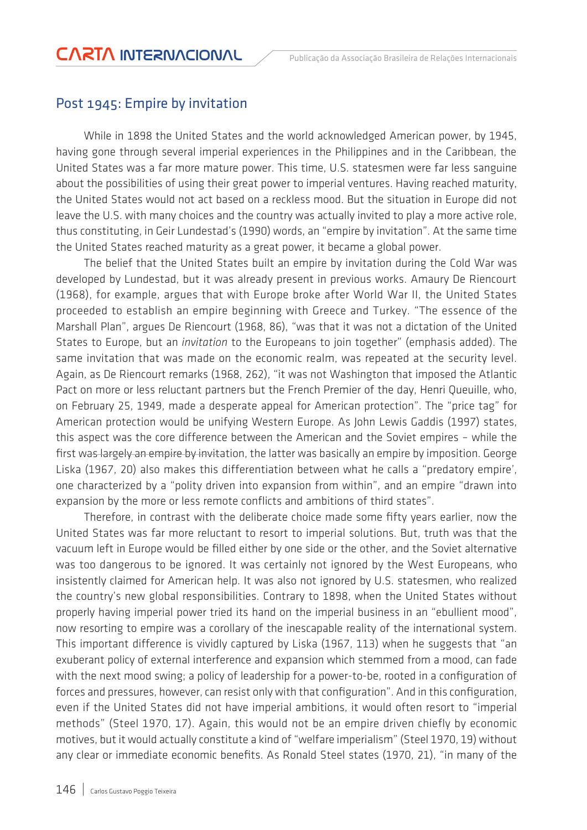#### Post 1945: Empire by invitation

While in 1898 the United States and the world acknowledged American power, by 1945, having gone through several imperial experiences in the Philippines and in the Caribbean, the United States was a far more mature power. This time, U.S. statesmen were far less sanguine about the possibilities of using their great power to imperial ventures. Having reached maturity, the United States would not act based on a reckless mood. But the situation in Europe did not leave the U.S. with many choices and the country was actually invited to play a more active role, thus constituting, in Geir Lundestad's (1990) words, an "empire by invitation". At the same time the United States reached maturity as a great power, it became a global power.

The belief that the United States built an empire by invitation during the Cold War was developed by Lundestad, but it was already present in previous works. Amaury De Riencourt (1968), for example, argues that with Europe broke after World War II, the United States proceeded to establish an empire beginning with Greece and Turkey. "The essence of the Marshall Plan", argues De Riencourt (1968, 86), "was that it was not a dictation of the United States to Europe, but an *invitation* to the Europeans to join together" (emphasis added). The same invitation that was made on the economic realm, was repeated at the security level. Again, as De Riencourt remarks (1968, 262), "it was not Washington that imposed the Atlantic Pact on more or less reluctant partners but the French Premier of the day, Henri Queuille, who, on February 25, 1949, made a desperate appeal for American protection". The "price tag" for American protection would be unifying Western Europe. As John Lewis Gaddis (1997) states, this aspect was the core difference between the American and the Soviet empires – while the first was largely an empire by invitation, the latter was basically an empire by imposition. George Liska (1967, 20) also makes this differentiation between what he calls a "predatory empire', one characterized by a "polity driven into expansion from within", and an empire "drawn into expansion by the more or less remote conflicts and ambitions of third states".

Therefore, in contrast with the deliberate choice made some fifty years earlier, now the United States was far more reluctant to resort to imperial solutions. But, truth was that the vacuum left in Europe would be filled either by one side or the other, and the Soviet alternative was too dangerous to be ignored. It was certainly not ignored by the West Europeans, who insistently claimed for American help. It was also not ignored by U.S. statesmen, who realized the country's new global responsibilities. Contrary to 1898, when the United States without properly having imperial power tried its hand on the imperial business in an "ebullient mood", now resorting to empire was a corollary of the inescapable reality of the international system. This important difference is vividly captured by Liska (1967, 113) when he suggests that "an exuberant policy of external interference and expansion which stemmed from a mood, can fade with the next mood swing; a policy of leadership for a power-to-be, rooted in a configuration of forces and pressures, however, can resist only with that configuration". And in this configuration, even if the United States did not have imperial ambitions, it would often resort to "imperial methods" (Steel 1970, 17). Again, this would not be an empire driven chiefly by economic motives, but it would actually constitute a kind of "welfare imperialism" (Steel 1970, 19) without any clear or immediate economic benefits. As Ronald Steel states (1970, 21), "in many of the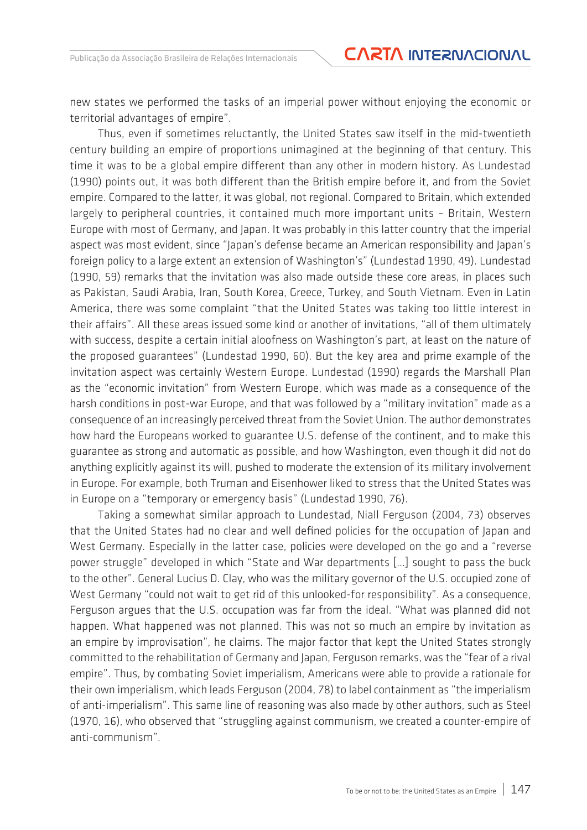new states we performed the tasks of an imperial power without enjoying the economic or territorial advantages of empire".

Thus, even if sometimes reluctantly, the United States saw itself in the mid-twentieth century building an empire of proportions unimagined at the beginning of that century. This time it was to be a global empire different than any other in modern history. As Lundestad (1990) points out, it was both different than the British empire before it, and from the Soviet empire. Compared to the latter, it was global, not regional. Compared to Britain, which extended largely to peripheral countries, it contained much more important units – Britain, Western Europe with most of Germany, and Japan. It was probably in this latter country that the imperial aspect was most evident, since "Japan's defense became an American responsibility and Japan's foreign policy to a large extent an extension of Washington's" (Lundestad 1990, 49). Lundestad (1990, 59) remarks that the invitation was also made outside these core areas, in places such as Pakistan, Saudi Arabia, Iran, South Korea, Greece, Turkey, and South Vietnam. Even in Latin America, there was some complaint "that the United States was taking too little interest in their affairs". All these areas issued some kind or another of invitations, "all of them ultimately with success, despite a certain initial aloofness on Washington's part, at least on the nature of the proposed guarantees" (Lundestad 1990, 60). But the key area and prime example of the invitation aspect was certainly Western Europe. Lundestad (1990) regards the Marshall Plan as the "economic invitation" from Western Europe, which was made as a consequence of the harsh conditions in post-war Europe, and that was followed by a "military invitation" made as a consequence of an increasingly perceived threat from the Soviet Union. The author demonstrates how hard the Europeans worked to guarantee U.S. defense of the continent, and to make this guarantee as strong and automatic as possible, and how Washington, even though it did not do anything explicitly against its will, pushed to moderate the extension of its military involvement in Europe. For example, both Truman and Eisenhower liked to stress that the United States was in Europe on a "temporary or emergency basis" (Lundestad 1990, 76).

Taking a somewhat similar approach to Lundestad, Niall Ferguson (2004, 73) observes that the United States had no clear and well defined policies for the occupation of Japan and West Germany. Especially in the latter case, policies were developed on the go and a "reverse power struggle" developed in which "State and War departments […] sought to pass the buck to the other". General Lucius D. Clay, who was the military governor of the U.S. occupied zone of West Germany "could not wait to get rid of this unlooked-for responsibility". As a consequence, Ferguson argues that the U.S. occupation was far from the ideal. "What was planned did not happen. What happened was not planned. This was not so much an empire by invitation as an empire by improvisation", he claims. The major factor that kept the United States strongly committed to the rehabilitation of Germany and Japan, Ferguson remarks, was the "fear of a rival empire". Thus, by combating Soviet imperialism, Americans were able to provide a rationale for their own imperialism, which leads Ferguson (2004, 78) to label containment as "the imperialism of anti-imperialism". This same line of reasoning was also made by other authors, such as Steel (1970, 16), who observed that "struggling against communism, we created a counter-empire of anti-communism".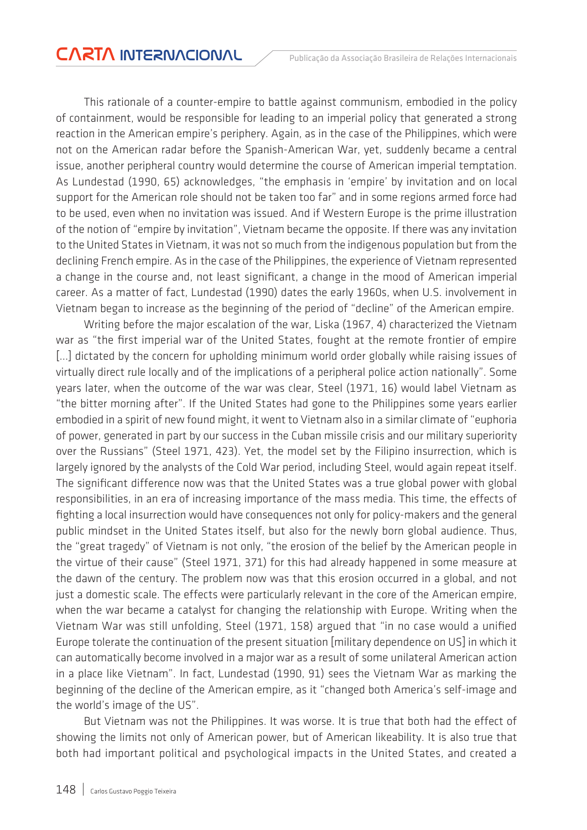This rationale of a counter-empire to battle against communism, embodied in the policy of containment, would be responsible for leading to an imperial policy that generated a strong reaction in the American empire's periphery. Again, as in the case of the Philippines, which were not on the American radar before the Spanish-American War, yet, suddenly became a central issue, another peripheral country would determine the course of American imperial temptation. As Lundestad (1990, 65) acknowledges, "the emphasis in 'empire' by invitation and on local support for the American role should not be taken too far" and in some regions armed force had to be used, even when no invitation was issued. And if Western Europe is the prime illustration of the notion of "empire by invitation", Vietnam became the opposite. If there was any invitation to the United States in Vietnam, it was not so much from the indigenous population but from the declining French empire. As in the case of the Philippines, the experience of Vietnam represented a change in the course and, not least significant, a change in the mood of American imperial career. As a matter of fact, Lundestad (1990) dates the early 1960s, when U.S. involvement in Vietnam began to increase as the beginning of the period of "decline" of the American empire.

Writing before the major escalation of the war, Liska (1967, 4) characterized the Vietnam war as "the first imperial war of the United States, fought at the remote frontier of empire [...] dictated by the concern for upholding minimum world order globally while raising issues of virtually direct rule locally and of the implications of a peripheral police action nationally". Some years later, when the outcome of the war was clear, Steel (1971, 16) would label Vietnam as "the bitter morning after". If the United States had gone to the Philippines some years earlier embodied in a spirit of new found might, it went to Vietnam also in a similar climate of "euphoria of power, generated in part by our success in the Cuban missile crisis and our military superiority over the Russians" (Steel 1971, 423). Yet, the model set by the Filipino insurrection, which is largely ignored by the analysts of the Cold War period, including Steel, would again repeat itself. The significant difference now was that the United States was a true global power with global responsibilities, in an era of increasing importance of the mass media. This time, the effects of fighting a local insurrection would have consequences not only for policy-makers and the general public mindset in the United States itself, but also for the newly born global audience. Thus, the "great tragedy" of Vietnam is not only, "the erosion of the belief by the American people in the virtue of their cause" (Steel 1971, 371) for this had already happened in some measure at the dawn of the century. The problem now was that this erosion occurred in a global, and not just a domestic scale. The effects were particularly relevant in the core of the American empire, when the war became a catalyst for changing the relationship with Europe. Writing when the Vietnam War was still unfolding, Steel (1971, 158) argued that "in no case would a unified Europe tolerate the continuation of the present situation [military dependence on US] in which it can automatically become involved in a major war as a result of some unilateral American action in a place like Vietnam". In fact, Lundestad (1990, 91) sees the Vietnam War as marking the beginning of the decline of the American empire, as it "changed both America's self-image and the world's image of the US".

But Vietnam was not the Philippines. It was worse. It is true that both had the effect of showing the limits not only of American power, but of American likeability. It is also true that both had important political and psychological impacts in the United States, and created a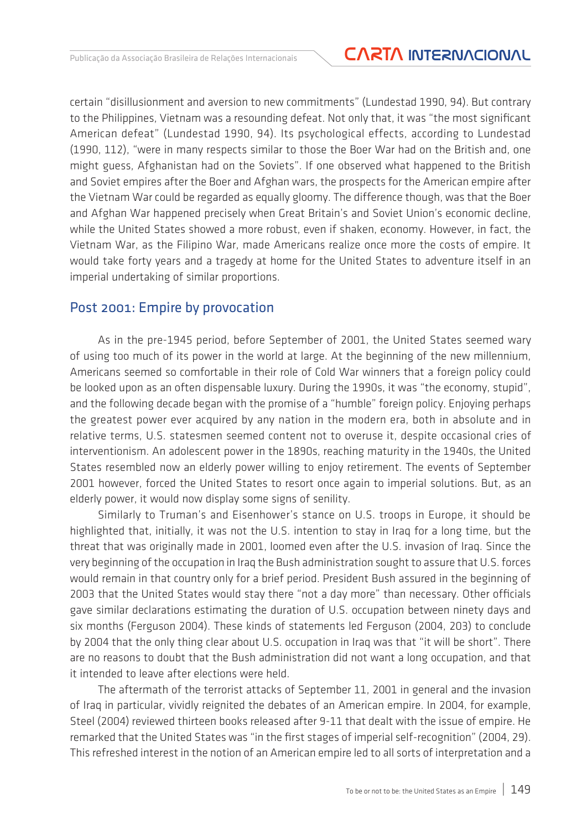certain "disillusionment and aversion to new commitments" (Lundestad 1990, 94). But contrary to the Philippines, Vietnam was a resounding defeat. Not only that, it was "the most significant American defeat" (Lundestad 1990, 94). Its psychological effects, according to Lundestad (1990, 112), "were in many respects similar to those the Boer War had on the British and, one might guess, Afghanistan had on the Soviets". If one observed what happened to the British and Soviet empires after the Boer and Afghan wars, the prospects for the American empire after the Vietnam War could be regarded as equally gloomy. The difference though, was that the Boer and Afghan War happened precisely when Great Britain's and Soviet Union's economic decline, while the United States showed a more robust, even if shaken, economy. However, in fact, the Vietnam War, as the Filipino War, made Americans realize once more the costs of empire. It would take forty years and a tragedy at home for the United States to adventure itself in an imperial undertaking of similar proportions.

#### Post 2001: Empire by provocation

As in the pre-1945 period, before September of 2001, the United States seemed wary of using too much of its power in the world at large. At the beginning of the new millennium, Americans seemed so comfortable in their role of Cold War winners that a foreign policy could be looked upon as an often dispensable luxury. During the 1990s, it was "the economy, stupid", and the following decade began with the promise of a "humble" foreign policy. Enjoying perhaps the greatest power ever acquired by any nation in the modern era, both in absolute and in relative terms, U.S. statesmen seemed content not to overuse it, despite occasional cries of interventionism. An adolescent power in the 1890s, reaching maturity in the 1940s, the United States resembled now an elderly power willing to enjoy retirement. The events of September 2001 however, forced the United States to resort once again to imperial solutions. But, as an elderly power, it would now display some signs of senility.

Similarly to Truman's and Eisenhower's stance on U.S. troops in Europe, it should be highlighted that, initially, it was not the U.S. intention to stay in Iraq for a long time, but the threat that was originally made in 2001, loomed even after the U.S. invasion of Iraq. Since the very beginning of the occupation in Iraq the Bush administration sought to assure that U.S. forces would remain in that country only for a brief period. President Bush assured in the beginning of 2003 that the United States would stay there "not a day more" than necessary. Other officials gave similar declarations estimating the duration of U.S. occupation between ninety days and six months (Ferguson 2004). These kinds of statements led Ferguson (2004, 203) to conclude by 2004 that the only thing clear about U.S. occupation in Iraq was that "it will be short". There are no reasons to doubt that the Bush administration did not want a long occupation, and that it intended to leave after elections were held.

The aftermath of the terrorist attacks of September 11, 2001 in general and the invasion of Iraq in particular, vividly reignited the debates of an American empire. In 2004, for example, Steel (2004) reviewed thirteen books released after 9-11 that dealt with the issue of empire. He remarked that the United States was "in the first stages of imperial self-recognition" (2004, 29). This refreshed interest in the notion of an American empire led to all sorts of interpretation and a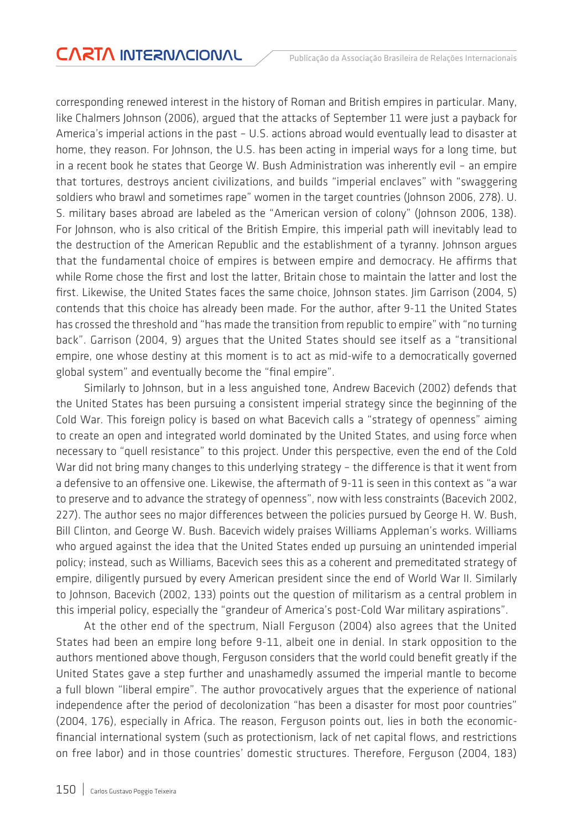corresponding renewed interest in the history of Roman and British empires in particular. Many, like Chalmers Johnson (2006), argued that the attacks of September 11 were just a payback for America's imperial actions in the past – U.S. actions abroad would eventually lead to disaster at home, they reason. For Johnson, the U.S. has been acting in imperial ways for a long time, but in a recent book he states that George W. Bush Administration was inherently evil – an empire that tortures, destroys ancient civilizations, and builds "imperial enclaves" with "swaggering soldiers who brawl and sometimes rape" women in the target countries (Johnson 2006, 278). U. S. military bases abroad are labeled as the "American version of colony" (Johnson 2006, 138). For Johnson, who is also critical of the British Empire, this imperial path will inevitably lead to the destruction of the American Republic and the establishment of a tyranny. Johnson argues that the fundamental choice of empires is between empire and democracy. He affirms that while Rome chose the first and lost the latter, Britain chose to maintain the latter and lost the first. Likewise, the United States faces the same choice, Johnson states. Jim Garrison (2004, 5) contends that this choice has already been made. For the author, after 9-11 the United States has crossed the threshold and "has made the transition from republic to empire" with "no turning back". Garrison (2004, 9) argues that the United States should see itself as a "transitional empire, one whose destiny at this moment is to act as mid-wife to a democratically governed global system" and eventually become the "final empire".

Similarly to Johnson, but in a less anguished tone, Andrew Bacevich (2002) defends that the United States has been pursuing a consistent imperial strategy since the beginning of the Cold War. This foreign policy is based on what Bacevich calls a "strategy of openness" aiming to create an open and integrated world dominated by the United States, and using force when necessary to "quell resistance" to this project. Under this perspective, even the end of the Cold War did not bring many changes to this underlying strategy – the difference is that it went from a defensive to an offensive one. Likewise, the aftermath of 9-11 is seen in this context as "a war to preserve and to advance the strategy of openness", now with less constraints (Bacevich 2002, 227). The author sees no major differences between the policies pursued by George H. W. Bush, Bill Clinton, and George W. Bush. Bacevich widely praises Williams Appleman's works. Williams who argued against the idea that the United States ended up pursuing an unintended imperial policy; instead, such as Williams, Bacevich sees this as a coherent and premeditated strategy of empire, diligently pursued by every American president since the end of World War II. Similarly to Johnson, Bacevich (2002, 133) points out the question of militarism as a central problem in this imperial policy, especially the "grandeur of America's post-Cold War military aspirations".

At the other end of the spectrum, Niall Ferguson (2004) also agrees that the United States had been an empire long before 9-11, albeit one in denial. In stark opposition to the authors mentioned above though, Ferguson considers that the world could benefit greatly if the United States gave a step further and unashamedly assumed the imperial mantle to become a full blown "liberal empire". The author provocatively argues that the experience of national independence after the period of decolonization "has been a disaster for most poor countries" (2004, 176), especially in Africa. The reason, Ferguson points out, lies in both the economicfinancial international system (such as protectionism, lack of net capital flows, and restrictions on free labor) and in those countries' domestic structures. Therefore, Ferguson (2004, 183)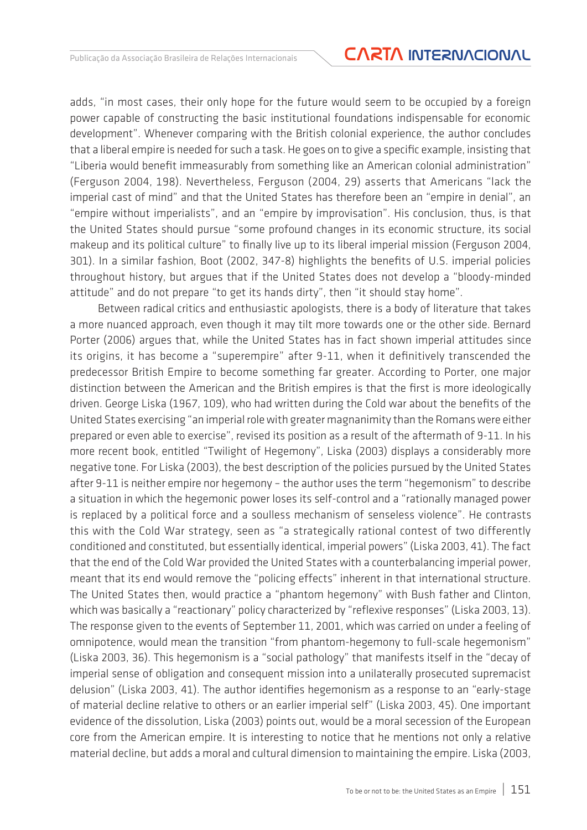### Publicação da Associação Brasileira de Relações Internacionais **CARTA INTERNACIONAL**

adds, "in most cases, their only hope for the future would seem to be occupied by a foreign power capable of constructing the basic institutional foundations indispensable for economic development". Whenever comparing with the British colonial experience, the author concludes that a liberal empire is needed for such a task. He goes on to give a specific example, insisting that "Liberia would benefit immeasurably from something like an American colonial administration" (Ferguson 2004, 198). Nevertheless, Ferguson (2004, 29) asserts that Americans "lack the imperial cast of mind" and that the United States has therefore been an "empire in denial", an "empire without imperialists", and an "empire by improvisation". His conclusion, thus, is that the United States should pursue "some profound changes in its economic structure, its social makeup and its political culture" to finally live up to its liberal imperial mission (Ferguson 2004, 301). In a similar fashion, Boot (2002, 347-8) highlights the benefits of U.S. imperial policies throughout history, but argues that if the United States does not develop a "bloody-minded attitude" and do not prepare "to get its hands dirty", then "it should stay home".

Between radical critics and enthusiastic apologists, there is a body of literature that takes a more nuanced approach, even though it may tilt more towards one or the other side. Bernard Porter (2006) argues that, while the United States has in fact shown imperial attitudes since its origins, it has become a "superempire" after 9-11, when it definitively transcended the predecessor British Empire to become something far greater. According to Porter, one major distinction between the American and the British empires is that the first is more ideologically driven. George Liska (1967, 109), who had written during the Cold war about the benefits of the United States exercising "an imperial role with greater magnanimity than the Romans were either prepared or even able to exercise", revised its position as a result of the aftermath of 9-11. In his more recent book, entitled "Twilight of Hegemony", Liska (2003) displays a considerably more negative tone. For Liska (2003), the best description of the policies pursued by the United States after 9-11 is neither empire nor hegemony – the author uses the term "hegemonism" to describe a situation in which the hegemonic power loses its self-control and a "rationally managed power is replaced by a political force and a soulless mechanism of senseless violence". He contrasts this with the Cold War strategy, seen as "a strategically rational contest of two differently conditioned and constituted, but essentially identical, imperial powers" (Liska 2003, 41). The fact that the end of the Cold War provided the United States with a counterbalancing imperial power, meant that its end would remove the "policing effects" inherent in that international structure. The United States then, would practice a "phantom hegemony" with Bush father and Clinton, which was basically a "reactionary" policy characterized by "reflexive responses" (Liska 2003, 13). The response given to the events of September 11, 2001, which was carried on under a feeling of omnipotence, would mean the transition "from phantom-hegemony to full-scale hegemonism" (Liska 2003, 36). This hegemonism is a "social pathology" that manifests itself in the "decay of imperial sense of obligation and consequent mission into a unilaterally prosecuted supremacist delusion" (Liska 2003, 41). The author identifies hegemonism as a response to an "early-stage of material decline relative to others or an earlier imperial self" (Liska 2003, 45). One important evidence of the dissolution, Liska (2003) points out, would be a moral secession of the European core from the American empire. It is interesting to notice that he mentions not only a relative material decline, but adds a moral and cultural dimension to maintaining the empire. Liska (2003,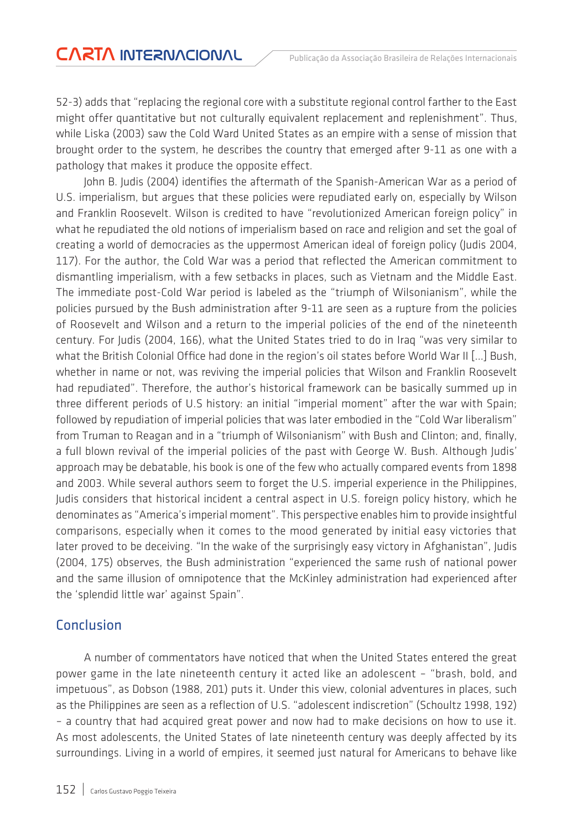52-3) adds that "replacing the regional core with a substitute regional control farther to the East might offer quantitative but not culturally equivalent replacement and replenishment". Thus, while Liska (2003) saw the Cold Ward United States as an empire with a sense of mission that brought order to the system, he describes the country that emerged after 9-11 as one with a pathology that makes it produce the opposite effect.

John B. Judis (2004) identifies the aftermath of the Spanish-American War as a period of U.S. imperialism, but argues that these policies were repudiated early on, especially by Wilson and Franklin Roosevelt. Wilson is credited to have "revolutionized American foreign policy" in what he repudiated the old notions of imperialism based on race and religion and set the goal of creating a world of democracies as the uppermost American ideal of foreign policy (Judis 2004, 117). For the author, the Cold War was a period that reflected the American commitment to dismantling imperialism, with a few setbacks in places, such as Vietnam and the Middle East. The immediate post-Cold War period is labeled as the "triumph of Wilsonianism", while the policies pursued by the Bush administration after 9-11 are seen as a rupture from the policies of Roosevelt and Wilson and a return to the imperial policies of the end of the nineteenth century. For Judis (2004, 166), what the United States tried to do in Iraq "was very similar to what the British Colonial Office had done in the region's oil states before World War II [...] Bush, whether in name or not, was reviving the imperial policies that Wilson and Franklin Roosevelt had repudiated". Therefore, the author's historical framework can be basically summed up in three different periods of U.S history: an initial "imperial moment" after the war with Spain; followed by repudiation of imperial policies that was later embodied in the "Cold War liberalism" from Truman to Reagan and in a "triumph of Wilsonianism" with Bush and Clinton; and, finally, a full blown revival of the imperial policies of the past with George W. Bush. Although Judis' approach may be debatable, his book is one of the few who actually compared events from 1898 and 2003. While several authors seem to forget the U.S. imperial experience in the Philippines, Judis considers that historical incident a central aspect in U.S. foreign policy history, which he denominates as "America's imperial moment". This perspective enables him to provide insightful comparisons, especially when it comes to the mood generated by initial easy victories that later proved to be deceiving. "In the wake of the surprisingly easy victory in Afghanistan", Judis (2004, 175) observes, the Bush administration "experienced the same rush of national power and the same illusion of omnipotence that the McKinley administration had experienced after the 'splendid little war' against Spain".

#### Conclusion

A number of commentators have noticed that when the United States entered the great power game in the late nineteenth century it acted like an adolescent – "brash, bold, and impetuous", as Dobson (1988, 201) puts it. Under this view, colonial adventures in places, such as the Philippines are seen as a reflection of U.S. "adolescent indiscretion" (Schoultz 1998, 192) – a country that had acquired great power and now had to make decisions on how to use it. As most adolescents, the United States of late nineteenth century was deeply affected by its surroundings. Living in a world of empires, it seemed just natural for Americans to behave like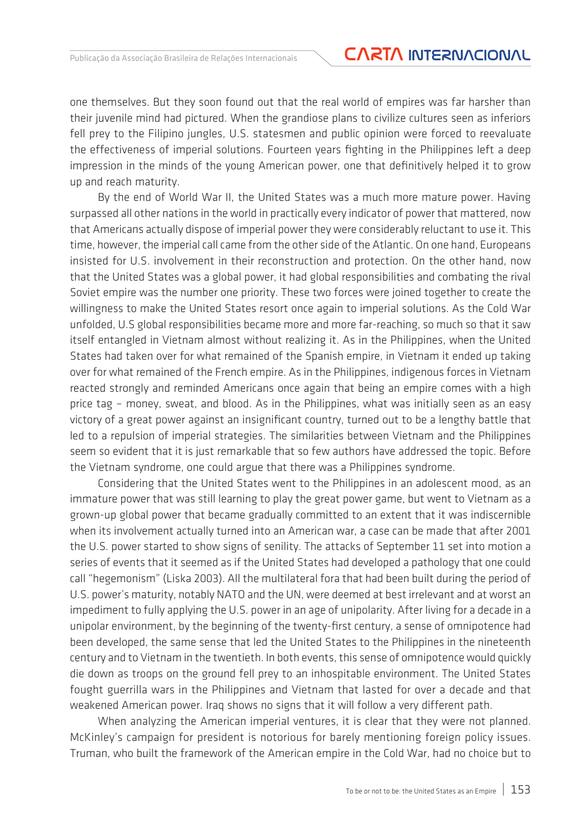### Publicação da Associação Brasileira de Relações Internacionais **CARTA INTERNACIONAL**

one themselves. But they soon found out that the real world of empires was far harsher than their juvenile mind had pictured. When the grandiose plans to civilize cultures seen as inferiors fell prey to the Filipino jungles, U.S. statesmen and public opinion were forced to reevaluate the effectiveness of imperial solutions. Fourteen years fighting in the Philippines left a deep impression in the minds of the young American power, one that definitively helped it to grow up and reach maturity.

By the end of World War II, the United States was a much more mature power. Having surpassed all other nations in the world in practically every indicator of power that mattered, now that Americans actually dispose of imperial power they were considerably reluctant to use it. This time, however, the imperial call came from the other side of the Atlantic. On one hand, Europeans insisted for U.S. involvement in their reconstruction and protection. On the other hand, now that the United States was a global power, it had global responsibilities and combating the rival Soviet empire was the number one priority. These two forces were joined together to create the willingness to make the United States resort once again to imperial solutions. As the Cold War unfolded, U.S global responsibilities became more and more far-reaching, so much so that it saw itself entangled in Vietnam almost without realizing it. As in the Philippines, when the United States had taken over for what remained of the Spanish empire, in Vietnam it ended up taking over for what remained of the French empire. As in the Philippines, indigenous forces in Vietnam reacted strongly and reminded Americans once again that being an empire comes with a high price tag – money, sweat, and blood. As in the Philippines, what was initially seen as an easy victory of a great power against an insignificant country, turned out to be a lengthy battle that led to a repulsion of imperial strategies. The similarities between Vietnam and the Philippines seem so evident that it is just remarkable that so few authors have addressed the topic. Before the Vietnam syndrome, one could argue that there was a Philippines syndrome.

Considering that the United States went to the Philippines in an adolescent mood, as an immature power that was still learning to play the great power game, but went to Vietnam as a grown-up global power that became gradually committed to an extent that it was indiscernible when its involvement actually turned into an American war, a case can be made that after 2001 the U.S. power started to show signs of senility. The attacks of September 11 set into motion a series of events that it seemed as if the United States had developed a pathology that one could call "hegemonism" (Liska 2003). All the multilateral fora that had been built during the period of U.S. power's maturity, notably NATO and the UN, were deemed at best irrelevant and at worst an impediment to fully applying the U.S. power in an age of unipolarity. After living for a decade in a unipolar environment, by the beginning of the twenty-first century, a sense of omnipotence had been developed, the same sense that led the United States to the Philippines in the nineteenth century and to Vietnam in the twentieth. In both events, this sense of omnipotence would quickly die down as troops on the ground fell prey to an inhospitable environment. The United States fought guerrilla wars in the Philippines and Vietnam that lasted for over a decade and that weakened American power. Iraq shows no signs that it will follow a very different path.

When analyzing the American imperial ventures, it is clear that they were not planned. McKinley's campaign for president is notorious for barely mentioning foreign policy issues. Truman, who built the framework of the American empire in the Cold War, had no choice but to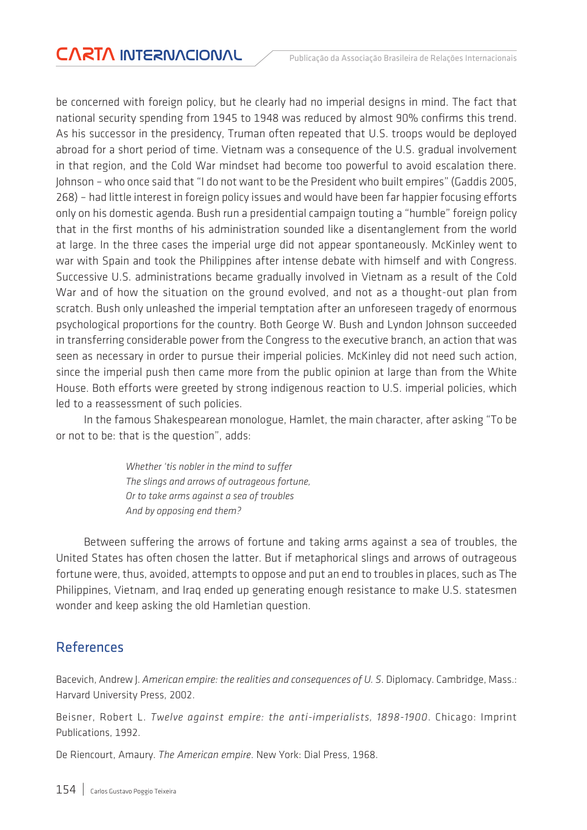be concerned with foreign policy, but he clearly had no imperial designs in mind. The fact that national security spending from 1945 to 1948 was reduced by almost 90% confirms this trend. As his successor in the presidency, Truman often repeated that U.S. troops would be deployed abroad for a short period of time. Vietnam was a consequence of the U.S. gradual involvement in that region, and the Cold War mindset had become too powerful to avoid escalation there. Johnson – who once said that "I do not want to be the President who built empires" (Gaddis 2005, 268) – had little interest in foreign policy issues and would have been far happier focusing efforts only on his domestic agenda. Bush run a presidential campaign touting a "humble" foreign policy that in the first months of his administration sounded like a disentanglement from the world at large. In the three cases the imperial urge did not appear spontaneously. McKinley went to war with Spain and took the Philippines after intense debate with himself and with Congress. Successive U.S. administrations became gradually involved in Vietnam as a result of the Cold War and of how the situation on the ground evolved, and not as a thought-out plan from scratch. Bush only unleashed the imperial temptation after an unforeseen tragedy of enormous psychological proportions for the country. Both George W. Bush and Lyndon Johnson succeeded in transferring considerable power from the Congress to the executive branch, an action that was seen as necessary in order to pursue their imperial policies. McKinley did not need such action, since the imperial push then came more from the public opinion at large than from the White House. Both efforts were greeted by strong indigenous reaction to U.S. imperial policies, which led to a reassessment of such policies.

In the famous Shakespearean monologue, Hamlet, the main character, after asking "To be or not to be: that is the question", adds:

> *Whether 'tis nobler in the mind to suffer The slings and arrows of outrageous fortune, Or to take arms against a sea of troubles And by opposing end them?*

Between suffering the arrows of fortune and taking arms against a sea of troubles, the United States has often chosen the latter. But if metaphorical slings and arrows of outrageous fortune were, thus, avoided, attempts to oppose and put an end to troubles in places, such as The Philippines, Vietnam, and Iraq ended up generating enough resistance to make U.S. statesmen wonder and keep asking the old Hamletian question.

#### References

Bacevich, Andrew J. *American empire: the realities and consequences of U. S*. Diplomacy. Cambridge, Mass.: Harvard University Press, 2002.

Beisner, Robert L. *Twelve against empire: the anti-imperialists, 1898-1900*. Chicago: Imprint Publications, 1992.

De Riencourt, Amaury. *The American empire*. New York: Dial Press, 1968.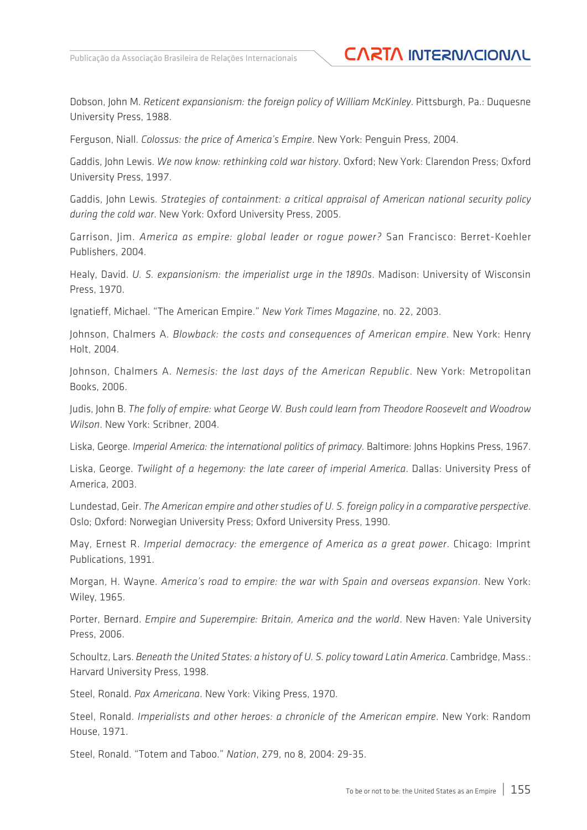Dobson, John M. *Reticent expansionism: the foreign policy of William McKinley*. Pittsburgh, Pa.: Duquesne University Press, 1988.

Ferguson, Niall. *Colossus: the price of America's Empire*. New York: Penguin Press, 2004.

Gaddis, John Lewis. *We now know: rethinking cold war history*. Oxford; New York: Clarendon Press; Oxford University Press, 1997.

Gaddis, John Lewis. *Strategies of containment: a critical appraisal of American national security policy during the cold war*. New York: Oxford University Press, 2005.

Garrison, Jim. *America as empire: global leader or rogue power?* San Francisco: Berret-Koehler Publishers, 2004.

Healy, David. *U. S. expansionism: the imperialist urge in the 1890s*. Madison: University of Wisconsin Press, 1970.

Ignatieff, Michael. "The American Empire." *New York Times Magazine*, no. 22, 2003.

Johnson, Chalmers A. *Blowback: the costs and consequences of American empire*. New York: Henry Holt, 2004.

Johnson, Chalmers A. *Nemesis: the last days of the American Republic*. New York: Metropolitan Books, 2006.

Judis, John B. *The folly of empire: what George W. Bush could learn from Theodore Roosevelt and Woodrow Wilson*. New York: Scribner, 2004.

Liska, George. *Imperial America: the international politics of primacy*. Baltimore: Johns Hopkins Press, 1967.

Liska, George. *Twilight of a hegemony: the late career of imperial America*. Dallas: University Press of America, 2003.

Lundestad, Geir. *The American empire and other studies of U. S. foreign policy in a comparative perspective*. Oslo; Oxford: Norwegian University Press; Oxford University Press, 1990.

May, Ernest R. *Imperial democracy: the emergence of America as a great power*. Chicago: Imprint Publications, 1991.

Morgan, H. Wayne. *America's road to empire: the war with Spain and overseas expansion*. New York: Wiley, 1965.

Porter, Bernard. *Empire and Superempire: Britain, America and the world*. New Haven: Yale University Press, 2006

Schoultz, Lars. *Beneath the United States: a history of U. S. policy toward Latin America*. Cambridge, Mass.: Harvard University Press, 1998.

Steel, Ronald. *Pax Americana*. New York: Viking Press, 1970.

Steel, Ronald. *Imperialists and other heroes: a chronicle of the American empire*. New York: Random House, 1971.

Steel, Ronald. "Totem and Taboo." *Nation*, 279, no 8, 2004: 29-35.